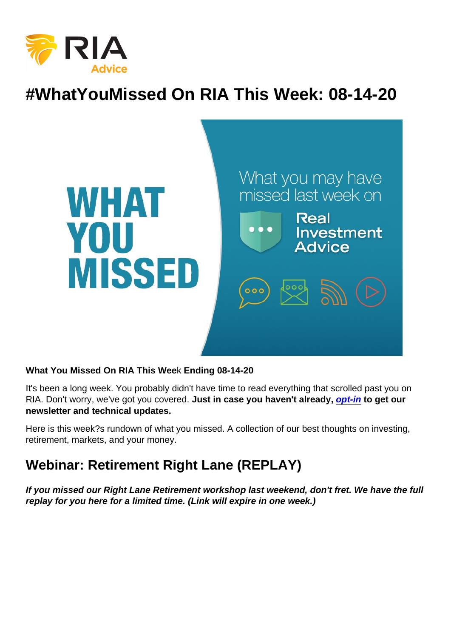# #WhatYouMissed On RIA This Week: 08-14-20

What You Missed On RIA This Wee k Ending 08-14-20

It's been a long week. You probably didn't have time to read everything that scrolled past you on RIA. Don't worry, we've got you covered. Just in case you haven't already, [opt-in](https://bit.ly/2Ph7UEL) to get our newsletter and technical updates.

Here is this week?s rundown of what you missed. A collection of our best thoughts on investing, retirement, markets, and your money.

## Webinar: Retirement Right Lane (REPLAY)

If you missed our Right Lane Retirement workshop last weekend, don't fret. We have the full replay for you here for a limited time. (Link will expire in one week.)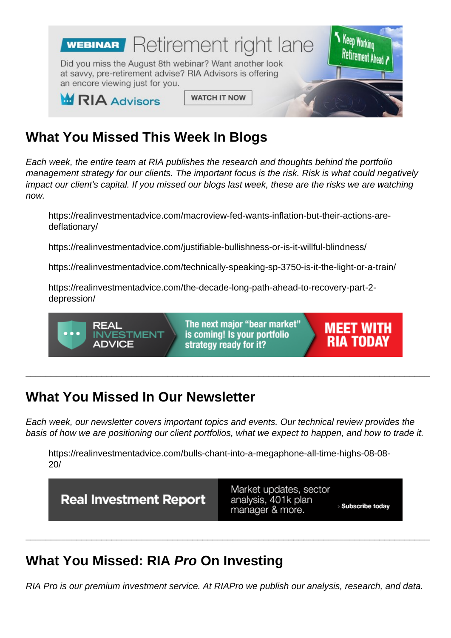# What You Missed This Week I n Blogs

Each week, the entire team at RIA publishes the research and thoughts behind the portfolio management strategy for our clients. The important focus is the risk. Risk is what could negatively impact our client's capital. If you missed our blogs last week, these are the risks we are watching now.

https://realinvestmentadvice.com/macroview-fed-wants-inflation-but-their-actions-aredeflationary/

https://realinvestmentadvice.com/justifiable-bullishness-or-is-it-willful-blindness/

https://realinvestmentadvice.com/technically-speaking-sp-3750-is-it-the-light-or-a-train/

https://realinvestmentadvice.com/the-decade-long-path-ahead-to-recovery-part-2 depression/

#### What You Missed In Our Newsletter

Each week, our newsletter covers important topics and events. Our technical review provides the basis of how we are positioning our client portfolios, what we expect to happen, and how to trade it.

\_\_\_\_\_\_\_\_\_\_\_\_\_\_\_\_\_\_\_\_\_\_\_\_\_\_\_\_\_\_\_\_\_\_\_\_\_\_\_\_\_\_\_\_\_\_\_\_\_\_\_\_\_\_\_\_\_\_\_\_\_\_\_\_\_\_\_\_\_\_\_\_\_\_\_\_\_\_\_\_

https://realinvestmentadvice.com/bulls-chant-into-a-megaphone-all-time-highs-08-08- 20/

## What You Missed: RIA Pro On Investing

RIA Pro is our premium investment service. At RIAPro we publish our analysis, research, and data.

\_\_\_\_\_\_\_\_\_\_\_\_\_\_\_\_\_\_\_\_\_\_\_\_\_\_\_\_\_\_\_\_\_\_\_\_\_\_\_\_\_\_\_\_\_\_\_\_\_\_\_\_\_\_\_\_\_\_\_\_\_\_\_\_\_\_\_\_\_\_\_\_\_\_\_\_\_\_\_\_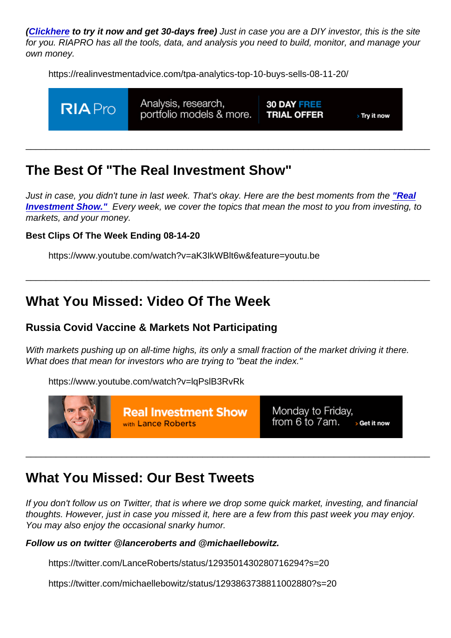[\(Click](https://riapro.net/register) [here](https://riapro.net/register) to try it now and get 30-days free) Just in case you are a DIY investor, this is the site for you. RIAPRO has all the tools, data, and analysis you need to build, monitor, and manage your own money.

https://realinvestmentadvice.com/tpa-analytics-top-10-buys-sells-08-11-20/

# The Best Of "The Real Investment Show"

Just in case, you didn't tune in last week. That's okay. Here are the best moments from the ["Real](https://www.youtube.com/channel/UCXVMMgEidXlrTM1coedg70A/videos) [Investment Show."](https://www.youtube.com/channel/UCXVMMgEidXlrTM1coedg70A/videos) Every week, we cover the topics that mean the most to you from investing, to markets, and your money.

\_\_\_\_\_\_\_\_\_\_\_\_\_\_\_\_\_\_\_\_\_\_\_\_\_\_\_\_\_\_\_\_\_\_\_\_\_\_\_\_\_\_\_\_\_\_\_\_\_\_\_\_\_\_\_\_\_\_\_\_\_\_\_\_\_\_\_\_\_\_\_\_\_\_\_\_\_\_\_\_

\_\_\_\_\_\_\_\_\_\_\_\_\_\_\_\_\_\_\_\_\_\_\_\_\_\_\_\_\_\_\_\_\_\_\_\_\_\_\_\_\_\_\_\_\_\_\_\_\_\_\_\_\_\_\_\_\_\_\_\_\_\_\_\_\_\_\_\_\_\_\_\_\_\_\_\_\_\_\_\_

Best Clips Of The Week Ending 08-14-20

https://www.youtube.com/watch?v=aK3IkWBlt6w&feature=youtu.be

#### What You Missed: Video Of The Week

Russia Covid Vaccine & Markets Not Participating

With markets pushing up on all-time highs, its only a small fraction of the market driving it there. What does that mean for investors who are trying to "beat the index."

https://www.youtube.com/watch?v=lqPslB3RvRk

#### What You Missed: Our Best Tweets

If you don't follow us on Twitter, that is where we drop some quick market, investing, and financial thoughts. However, just in case you missed it, here are a few from this past week you may enjoy. You may also enjoy the occasional snarky humor.

\_\_\_\_\_\_\_\_\_\_\_\_\_\_\_\_\_\_\_\_\_\_\_\_\_\_\_\_\_\_\_\_\_\_\_\_\_\_\_\_\_\_\_\_\_\_\_\_\_\_\_\_\_\_\_\_\_\_\_\_\_\_\_\_\_\_\_\_\_\_\_\_\_\_\_\_\_\_\_\_

Follow us on twitter @lanceroberts and @michaellebowitz.

https://twitter.com/LanceRoberts/status/1293501430280716294?s=20

https://twitter.com/michaellebowitz/status/1293863738811002880?s=20